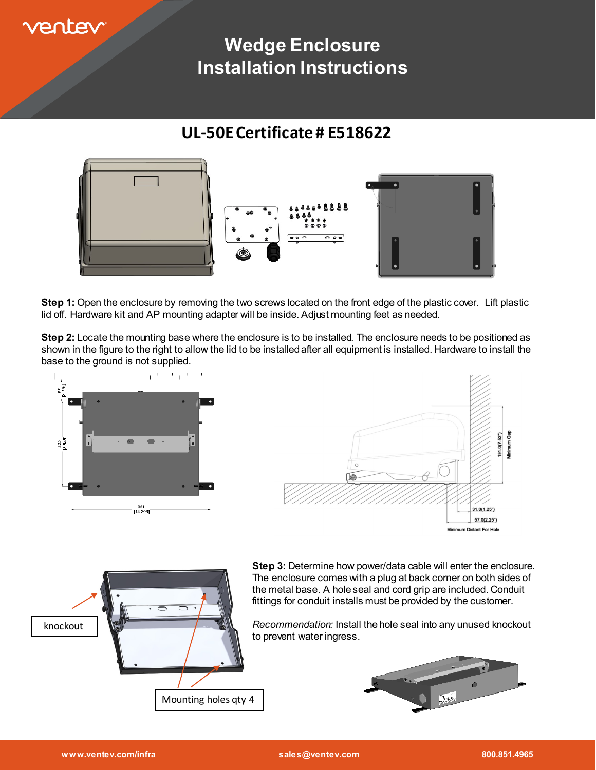

# **Wedge Enclosure Installation Instructions**

## **UL-50E Certificate # E518622**



**Step 1:** Open the enclosure by removing the two screws located on the front edge of the plastic cover. Lift plastic lid off. Hardware kit and AP mounting adapter will be inside. Adjust mounting feet as needed.

**Step 2:** Locate the mounting base where the enclosure is to be installed. The enclosure needs to be positioned as shown in the figure to the right to allow the lid to be installed after all equipment is installed. Hardware to install the base to the ground is not supplied.





**Step 3:** Determine how power/data cable will enter the enclosure. The enclosure comes with a plug at back corner on both sides of the metal base. A hole seal and cord grip are included. Conduit fittings for conduit installs must be provided by the customer.

*Recommendation:* Install the hole seal into any unused knockout to prevent water ingress.

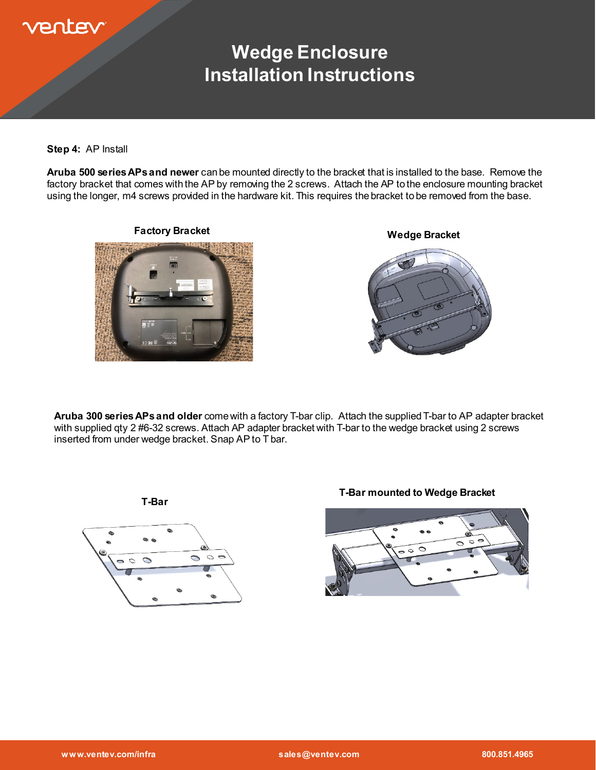

# **Wedge Enclosure Installation Instructions**

**Step 4:** AP Install

**Aruba 500 series APs and newer** can be mounted directly to the bracket that is installed to the base. Remove the factory bracket that comes with the AP by removing the 2 screws. Attach the AP to the enclosure mounting bracket using the longer, m4 screws provided in the hardware kit. This requires the bracket to be removed from the base.



**Aruba 300 series APs and older** come with a factory T-bar clip. Attach the supplied T-bar to AP adapter bracket with supplied qty 2 #6-32 screws. Attach AP adapter bracket with T-bar to the wedge bracket using 2 screws inserted from under wedge bracket. Snap AP to T bar.



**T-Bar mounted to Wedge Bracket**